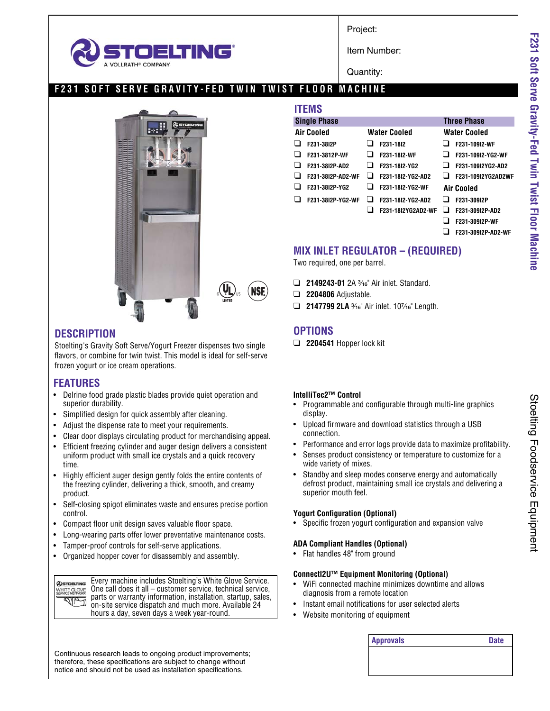

Project:

Item Number:

Quantity:

# **F231 SOFT SERVE GRAVITY-FED TWIN TWIST FLOOR MACHINE**



## **DESCRIPTION**

Stoelting's Gravity Soft Serve/Yogurt Freezer dispenses two single flavors, or combine for twin twist. This model is ideal for self-serve frozen yogurt or ice cream operations.

## **FEATURES**

- Delrin® food grade plastic blades provide quiet operation and superior durability.
- Simplified design for quick assembly after cleaning.
- Adjust the dispense rate to meet your requirements.
- Clear door displays circulating product for merchandising appeal.
- Efficient freezing cylinder and auger design delivers a consistent uniform product with small ice crystals and a quick recovery time.
- Highly efficient auger design gently folds the entire contents of the freezing cylinder, delivering a thick, smooth, and creamy product.
- Self-closing spigot eliminates waste and ensures precise portion control.
- Compact floor unit design saves valuable floor space.
- Long-wearing parts offer lower preventative maintenance costs.
- Tamper-proof controls for self-serve applications.
- Organized hopper cover for disassembly and assembly.

Every machine includes Stoelting's White Glove Service. **@STOELTING** One call does it all – customer service, technical service, WHITE GLOVE parts or warranty information, installation, startup, sales, **SUPTI** on-site service dispatch and much more. Available 24 hours a day, seven days a week year-round.

| TEMS                |                     |                    |
|---------------------|---------------------|--------------------|
| <b>Single Phase</b> |                     | <b>Three Phase</b> |
| <b>Air Cooled</b>   | <b>Water Cooled</b> | Water Cooled       |
| F231-38I2P          | F231-1812           | F231-10912-WF      |
| F231-3812P-WF       | F231-1812-WF        | F231-109I2-YG2-WF  |
| F231-3812P-AD2      | F231-18I2-YG2       | F231-109I2YG2-AD2  |
| F231-38I2P-AD2-WF   | F231-1812-YG2-AD2   | F231-109I2YG2AD2WF |
| F231-38I2P-YG2      | F231-18I2-YG2-WF    | <b>Air Cooled</b>  |
| F231-38I2P-YG2-WF   | F231-18I2-YG2-AD2   | F231-309I2P        |
|                     | F231-18I2YG2AD2-WF  | F231-309I2P-AD2    |
|                     |                     | F231-309I2P-WF     |

# **MIX INLET REGULATOR – (REQUIRED)**

Two required, one per barrel.

- □ **2149243-01** 2A 3<sup>1</sup>% Air inlet. Standard.
- ❑ **2204806** Adjustable.
- □ 2147799 2LA 3<sup>/</sup>16" Air inlet. 10<sup>7</sup>/16" Length.

# **OPTIONS**

❑ **2204541** Hopper lock kit

#### **IntelliTec2™ Control**

- Programmable and configurable through multi-line graphics display.
- Upload firmware and download statistics through a USB connection.
- Performance and error logs provide data to maximize profitability.
- Senses product consistency or temperature to customize for a wide variety of mixes.
- Standby and sleep modes conserve energy and automatically defrost product, maintaining small ice crystals and delivering a superior mouth feel.

#### **Yogurt Configuration (Optional)**

• Specific frozen yogurt configuration and expansion valve

#### **ADA Compliant Handles (Optional)**

• Flat handles 48" from ground

#### **ConnectI2U™ Equipment Monitoring (Optional)**

• WiFi connected machine minimizes downtime and allows diagnosis from a remote location

**Approvals Date**

- Instant email notifications for user selected alerts
- Website monitoring of equipment

Continuous research leads to ongoing product improvements; therefore, these specifications are subject to change without notice and should not be used as installation specifications.

❑ **F231-309I2P-AD2-WF**